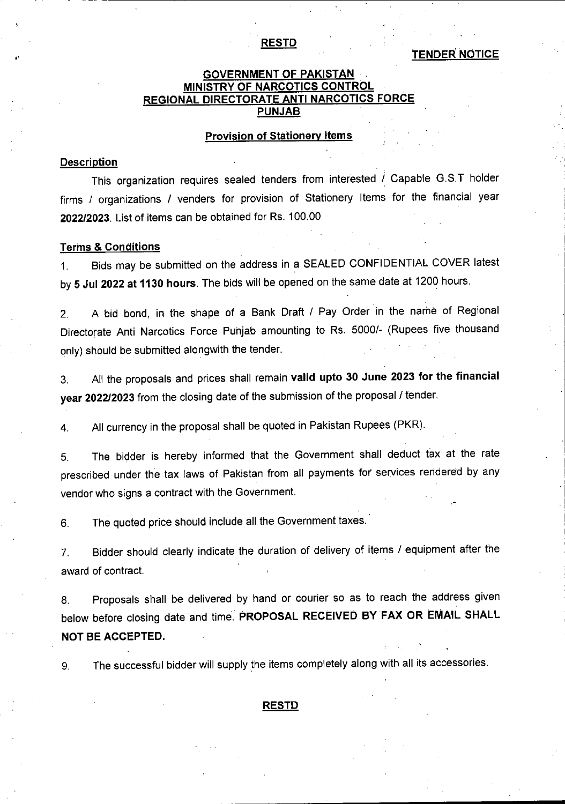## **TENDER NOTICE**

## **GOVERNMENT OF PAKISTAN MINISTRY OF NARCOTICS CONTROL REGIONAL DIRECTORATE ANTI NARCOTICS FORCE PUNJAB**

### **Provision of Stationery Items**

## **Description**

This organization requires sealed tenders from interested / Capable G.S.T holder firms / organizations / venders for provision of Stationery Items for the financial year **2022/2023.** List of items can be obtained for Rs. 100.00

#### **Terms & Conditions**

Bids may be submitted on the address in a SEALED CONFIDENTIAL COVER latest by **5 Jul 2022 at 1130 hours.** The bids will be opened on the same date at 1200 hours. 1.

2. A bid bond, in the shape of a Bank Draft / Pay Order in the name of Regional Directorate Anti Narcotics Force Punjab amounting to Rs. 5000/- (Rupees five thousand only) should be submitted alongwith the tender.

3. Ail the proposals and prices shall remain **valid upto 30 June 2023 for the financial year 2022/2023** from the closing date of the submission of the proposal / tender.

4. All currency in the proposal shall be quoted in Pakistan Rupees (PKR).

The bidder is hereby informed that the Government shall deduct tax at the rate prescribed under the tax laws of Pakistan from all payments for services rendered by any vendor who signs a contract with the Government. 5. *r*

6. The quoted price should include all the Government taxes.

7. Bidder should clearly indicate the duration of delivery of items / equipment after the award of contract.

Proposals shall be delivered by hand or courier so as to reach the address given below before closing date and time. **PROPOSAL RECEIVED BY FAX OR EMAIL SHALL NOT BE ACCEPTED.** 8.

**9.** The successful bidder will supply the items completely along with all its accessories.

## **RESTD**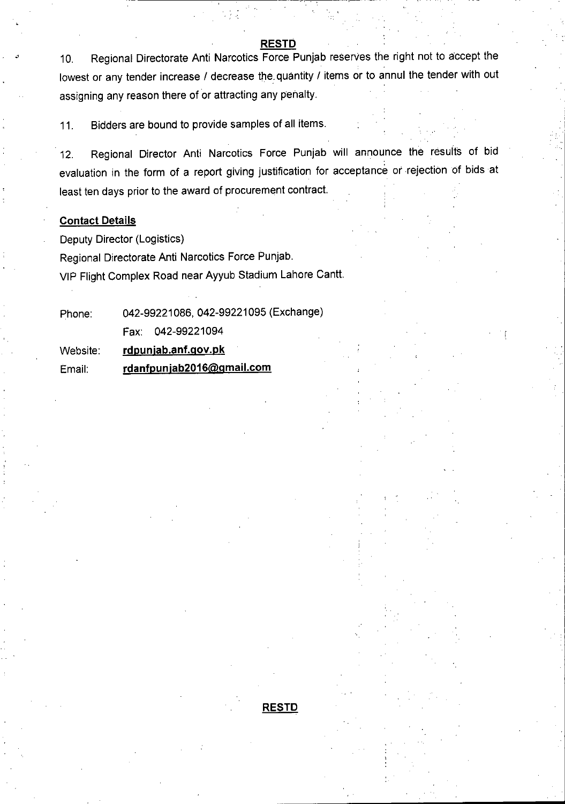10. Regional Directorate Anti Narcotics Force Punjab reserves the right not to accept the lowest or any tender increase / decrease the. quantity / items or to annul the tender with out assigning any reason there of or attracting any penalty.

11. Bidders are bound to provide samples of all items.

Regional Director Anti Narcotics Force Punjab will announce the results of bid evaluation in the form of a report giving justification for acceptance of rejection of bids at least ten days prior to the award of procurement contract. 12.

**RESTD**

#### **Contact Details**

Deputy Director (Logistics) Regional Directorate Anti Narcotics Force Punjab. VIP Flight Complex Road near Ayyub Stadium Lahore Cantt.

| Phone:   | 042-99221086, 042-99221095 (Exchange) |  |  |
|----------|---------------------------------------|--|--|
|          | Fax: 042-99221094                     |  |  |
| Website: | rdpunjab.anf.gov.pk                   |  |  |
| Email:   | rdanfpunjab2016@gmail.com             |  |  |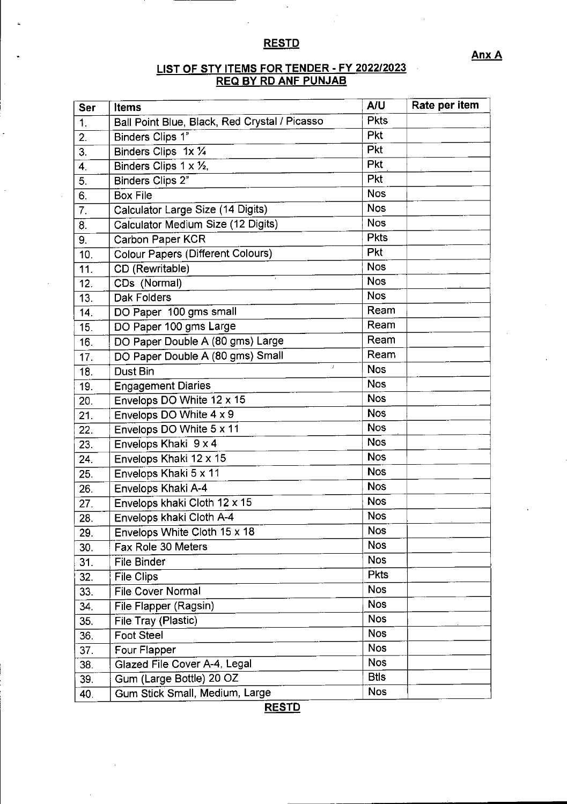# **Anx A**

### **LIST OF STY ITEMS FOR TENDER • FY 2022/2023 REQ BY RD ANF PUNJAB**

| Ser              | Items                                         | A/U         | Rate per item |
|------------------|-----------------------------------------------|-------------|---------------|
| $\mathbf{1}$ .   | Ball Point Blue, Black, Red Crystal / Picasso | <b>Pkts</b> |               |
| 2.               | <b>Binders Clips 1"</b>                       | Pkt         |               |
| 3.               | Binders Clips 1x 1/4                          | <b>Pkt</b>  |               |
| 4.               | Binders Clips 1 x 1/2,                        | <b>Pkt</b>  |               |
| 5.               | <b>Binders Clips 2"</b>                       | Pkt         |               |
| 6.               | <b>Box File</b>                               | <b>Nos</b>  |               |
| $\overline{7}$ . | Calculator Large Size (14 Digits)             | <b>Nos</b>  |               |
| 8.               | Calculator Medium Size (12 Digits)            | <b>Nos</b>  |               |
| 9.               | Carbon Paper KCR                              | <b>Pkts</b> |               |
| 10.              | <b>Colour Papers (Different Colours)</b>      | <b>Pkt</b>  |               |
| 11.              | CD (Rewritable)                               | <b>Nos</b>  |               |
| 12.              | CDs (Normal)                                  | <b>Nos</b>  |               |
| 13.              | <b>Dak Folders</b>                            | <b>Nos</b>  |               |
| 14.              | DO Paper 100 gms small                        | Ream        |               |
| 15.              | DO Paper 100 gms Large                        | Ream        |               |
| 16.              | DO Paper Double A (80 gms) Large              | Ream        |               |
| 17.              | DO Paper Double A (80 gms) Small              | Ream        |               |
| 18.              | $\lambda$<br>Dust Bin                         | <b>Nos</b>  |               |
| 19.              | <b>Engagement Diaries</b>                     | <b>Nos</b>  |               |
| 20.              | Envelops DO White 12 x 15                     | <b>Nos</b>  |               |
| 21.              | Envelops DO White 4 x 9                       | <b>Nos</b>  |               |
| 22.              | Envelops DO White 5 x 11                      | <b>Nos</b>  |               |
| 23.              | Envelops Khaki 9 x 4                          | <b>Nos</b>  |               |
| 24.              | Envelops Khaki 12 x 15                        | <b>Nos</b>  |               |
| 25.              | Envelops Khaki 5 x 11                         | <b>Nos</b>  |               |
| 26.              | Envelops Khaki A-4                            | <b>Nos</b>  |               |
| 27.              | Envelops khaki Cloth 12 x 15                  | <b>Nos</b>  |               |
| 28.              | Envelops khaki Cloth A-4                      | <b>Nos</b>  |               |
| 29.              | Envelops White Cloth 15 x 18                  | <b>Nos</b>  |               |
| 30.              | Fax Role 30 Meters                            | <b>Nos</b>  |               |
| 31.              | <b>File Binder</b>                            | <b>Nos</b>  |               |
| 32.              | <b>File Clips</b>                             | <b>Pkts</b> |               |
| 33.              | <b>File Cover Normal</b>                      | <b>Nos</b>  |               |
| 34.              | File Flapper (Ragsin)                         | <b>Nos</b>  |               |
| 35.              | File Tray (Plastic)                           | <b>Nos</b>  |               |
| 36.              | Foot Steel                                    | <b>Nos</b>  |               |
| 37.              | Four Flapper                                  | <b>Nos</b>  |               |
| 38.              | Glazed File Cover A-4, Legal                  | <b>Nos</b>  |               |
| 39.              | Gum (Large Bottle) 20 OZ                      | <b>Btls</b> |               |
| 40.              | Gum Stick Small, Medium, Large                | <b>Nos</b>  |               |

**RESTD**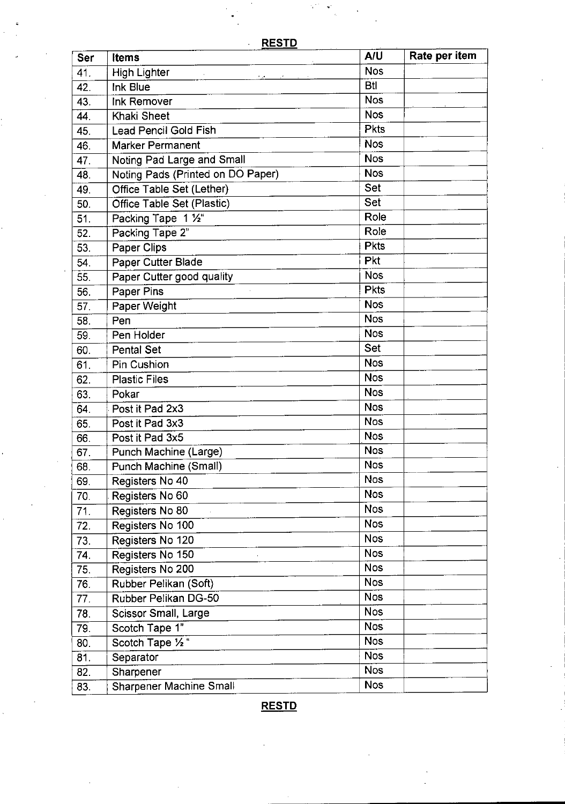| Ser | <b>Items</b>                          | A/U         | Rate per item |
|-----|---------------------------------------|-------------|---------------|
| 41. | High Lighter<br><b>Report Follows</b> | <b>Nos</b>  |               |
| 42. | Ink Blue                              | <b>Btl</b>  |               |
| 43. | Ink Remover                           | <b>Nos</b>  |               |
| 44. | Khaki Sheet                           | <b>Nos</b>  |               |
| 45. | Lead Pencil Gold Fish                 | <b>Pkts</b> |               |
| 46. | <b>Marker Permanent</b>               | <b>Nos</b>  |               |
| 47. | Noting Pad Large and Small            | <b>Nos</b>  |               |
| 48. | Noting Pads (Printed on DO Paper)     | <b>Nos</b>  |               |
| 49. | Office Table Set (Lether)             | Set         |               |
| 50. | Office Table Set (Plastic)            | Set         |               |
| 51. | Packing Tape 1 1/2"                   | Role        |               |
| 52. | Packing Tape 2"                       | Role        |               |
| 53. | <b>Paper Clips</b>                    | <b>Pkts</b> |               |
| 54. | Paper Cutter Blade                    | <b>Pkt</b>  |               |
| 55. | Paper Cutter good quality             | <b>Nos</b>  |               |
| 56. | Paper Pins                            | <b>Pkts</b> |               |
| 57. | Paper Weight                          | <b>Nos</b>  |               |
| 58. | Pen                                   | <b>Nos</b>  |               |
| 59. | Pen Holder                            | <b>Nos</b>  |               |
| 60. | <b>Pental Set</b>                     | Set         |               |
| 61. | Pin Cushion                           | <b>Nos</b>  |               |
| 62. | <b>Plastic Files</b>                  | <b>Nos</b>  |               |
| 63. | Pokar                                 | <b>Nos</b>  |               |
| 64. | Post it Pad 2x3                       | <b>Nos</b>  |               |
| 65. | Post it Pad 3x3                       | <b>Nos</b>  | à.            |
| 66. | Post it Pad 3x5                       | <b>Nos</b>  |               |
| 67. | Punch Machine (Large)                 | <b>Nos</b>  |               |
| 68. | Punch Machine (Small)                 | <b>Nos</b>  |               |
| 69. | Registers No 40                       | <b>Nos</b>  |               |
| 70. | Registers No 60                       | <b>Nos</b>  |               |
| 71. | Registers No 80                       | <b>Nos</b>  |               |
| 72. | Registers No 100                      | <b>Nos</b>  |               |
| 73. | Registers No 120                      | <b>Nos</b>  |               |
| 74. | Registers No 150                      | <b>Nos</b>  |               |
| 75. | Registers No 200                      | <b>Nos</b>  |               |
| 76. | Rubber Pelikan (Soft)                 | <b>Nos</b>  |               |
| 77. | Rubber Pelikan DG-50                  | <b>Nos</b>  |               |
| 78. | Scissor Small, Large                  | <b>Nos</b>  |               |
| 79. | Scotch Tape 1"                        | <b>Nos</b>  |               |
| 80. | Scotch Tape 1/2"                      | <b>Nos</b>  |               |
| 81. | Separator                             | <b>Nos</b>  |               |
| 82. | Sharpener                             | <b>Nos</b>  |               |
| 83. | Sharpener Machine Small               | <b>Nos</b>  |               |